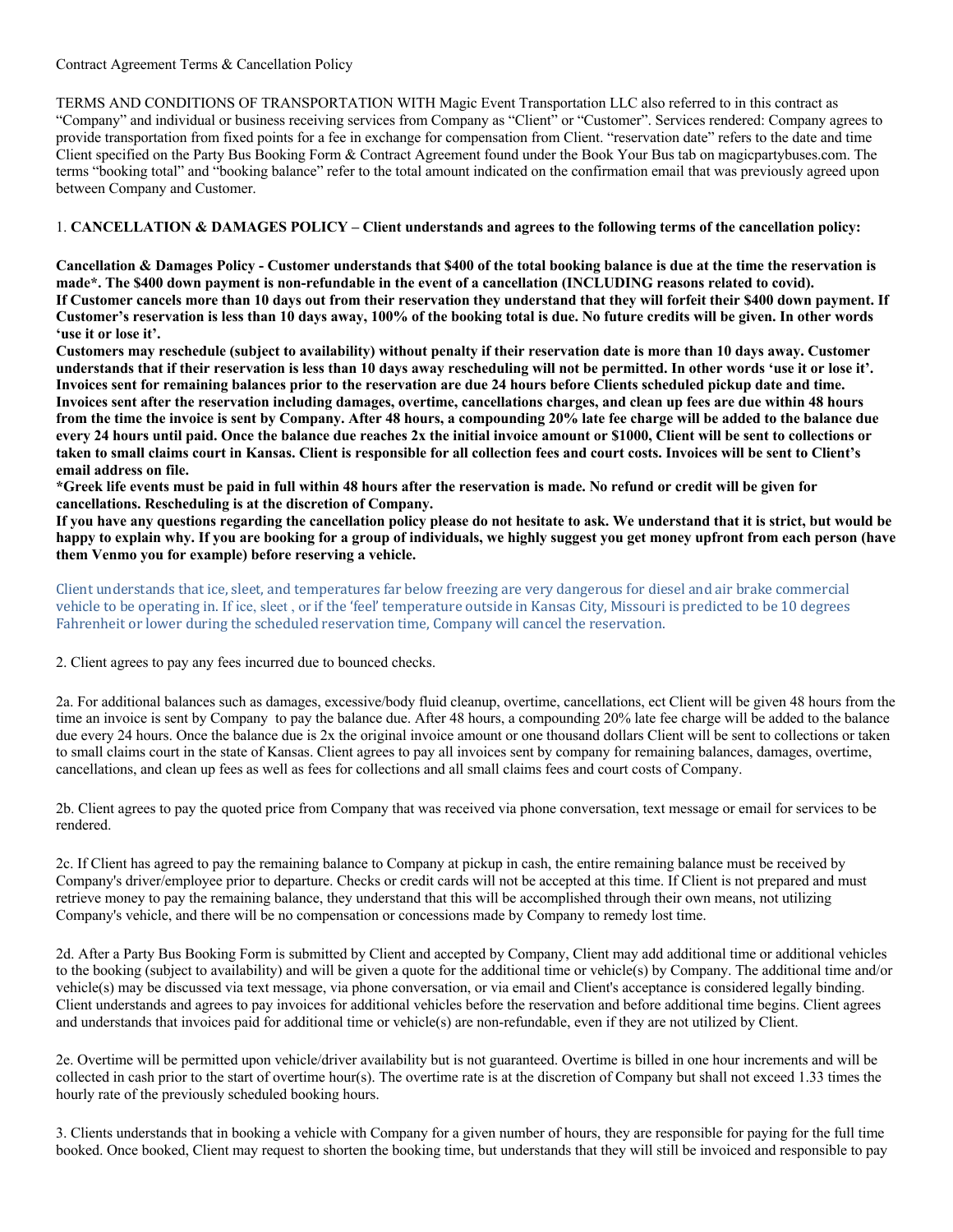## Contract Agreement Terms & Cancellation Policy

TERMS AND CONDITIONS OF TRANSPORTATION WITH Magic Event Transportation LLC also referred to in this contract as "Company" and individual or business receiving services from Company as "Client" or "Customer". Services rendered: Company agrees to provide transportation from fixed points for a fee in exchange for compensation from Client. "reservation date" refers to the date and time Client specified on the Party Bus Booking Form & Contract Agreement found under the Book Your Bus tab on magicpartybuses.com. The terms "booking total" and "booking balance" refer to the total amount indicated on the confirmation email that was previously agreed upon between Company and Customer.

## 1. **CANCELLATION & DAMAGES POLICY – Client understands and agrees to the following terms of the cancellation policy:**

**Cancellation & Damages Policy - Customer understands that \$400 of the total booking balance is due at the time the reservation is made\*. The \$400 down payment is non-refundable in the event of a cancellation (INCLUDING reasons related to covid). If Customer cancels more than 10 days out from their reservation they understand that they will forfeit their \$400 down payment. If Customer's reservation is less than 10 days away, 100% of the booking total is due. No future credits will be given. In other words 'use it or lose it'.**

**Customers may reschedule (subject to availability) without penalty if their reservation date is more than 10 days away. Customer understands that if their reservation is less than 10 days away rescheduling will not be permitted. In other words 'use it or lose it'. Invoices sent for remaining balances prior to the reservation are due 24 hours before Clients scheduled pickup date and time. Invoices sent after the reservation including damages, overtime, cancellations charges, and clean up fees are due within 48 hours from the time the invoice is sent by Company. After 48 hours, a compounding 20% late fee charge will be added to the balance due every 24 hours until paid. Once the balance due reaches 2x the initial invoice amount or \$1000, Client will be sent to collections or taken to small claims court in Kansas. Client is responsible for all collection fees and court costs. Invoices will be sent to Client's email address on file.** 

**\*Greek life events must be paid in full within 48 hours after the reservation is made. No refund or credit will be given for cancellations. Rescheduling is at the discretion of Company.**

**If you have any questions regarding the cancellation policy please do not hesitate to ask. We understand that it is strict, but would be happy to explain why. If you are booking for a group of individuals, we highly suggest you get money upfront from each person (have them Venmo you for example) before reserving a vehicle.**

Client understands that ice, sleet, and temperatures far below freezing are very dangerous for diesel and air brake commercial vehicle to be operating in. If ice, sleet, or if the 'feel' temperature outside in Kansas City, Missouri is predicted to be 10 degrees Fahrenheit or lower during the scheduled reservation time, Company will cancel the reservation.

2. Client agrees to pay any fees incurred due to bounced checks.

2a. For additional balances such as damages, excessive/body fluid cleanup, overtime, cancellations, ect Client will be given 48 hours from the time an invoice is sent by Company to pay the balance due. After 48 hours, a compounding 20% late fee charge will be added to the balance due every 24 hours. Once the balance due is 2x the original invoice amount or one thousand dollars Client will be sent to collections or taken to small claims court in the state of Kansas. Client agrees to pay all invoices sent by company for remaining balances, damages, overtime, cancellations, and clean up fees as well as fees for collections and all small claims fees and court costs of Company.

2b. Client agrees to pay the quoted price from Company that was received via phone conversation, text message or email for services to be rendered.

2c. If Client has agreed to pay the remaining balance to Company at pickup in cash, the entire remaining balance must be received by Company's driver/employee prior to departure. Checks or credit cards will not be accepted at this time. If Client is not prepared and must retrieve money to pay the remaining balance, they understand that this will be accomplished through their own means, not utilizing Company's vehicle, and there will be no compensation or concessions made by Company to remedy lost time.

2d. After a Party Bus Booking Form is submitted by Client and accepted by Company, Client may add additional time or additional vehicles to the booking (subject to availability) and will be given a quote for the additional time or vehicle(s) by Company. The additional time and/or vehicle(s) may be discussed via text message, via phone conversation, or via email and Client's acceptance is considered legally binding. Client understands and agrees to pay invoices for additional vehicles before the reservation and before additional time begins. Client agrees and understands that invoices paid for additional time or vehicle(s) are non-refundable, even if they are not utilized by Client.

2e. Overtime will be permitted upon vehicle/driver availability but is not guaranteed. Overtime is billed in one hour increments and will be collected in cash prior to the start of overtime hour(s). The overtime rate is at the discretion of Company but shall not exceed 1.33 times the hourly rate of the previously scheduled booking hours.

3. Clients understands that in booking a vehicle with Company for a given number of hours, they are responsible for paying for the full time booked. Once booked, Client may request to shorten the booking time, but understands that they will still be invoiced and responsible to pay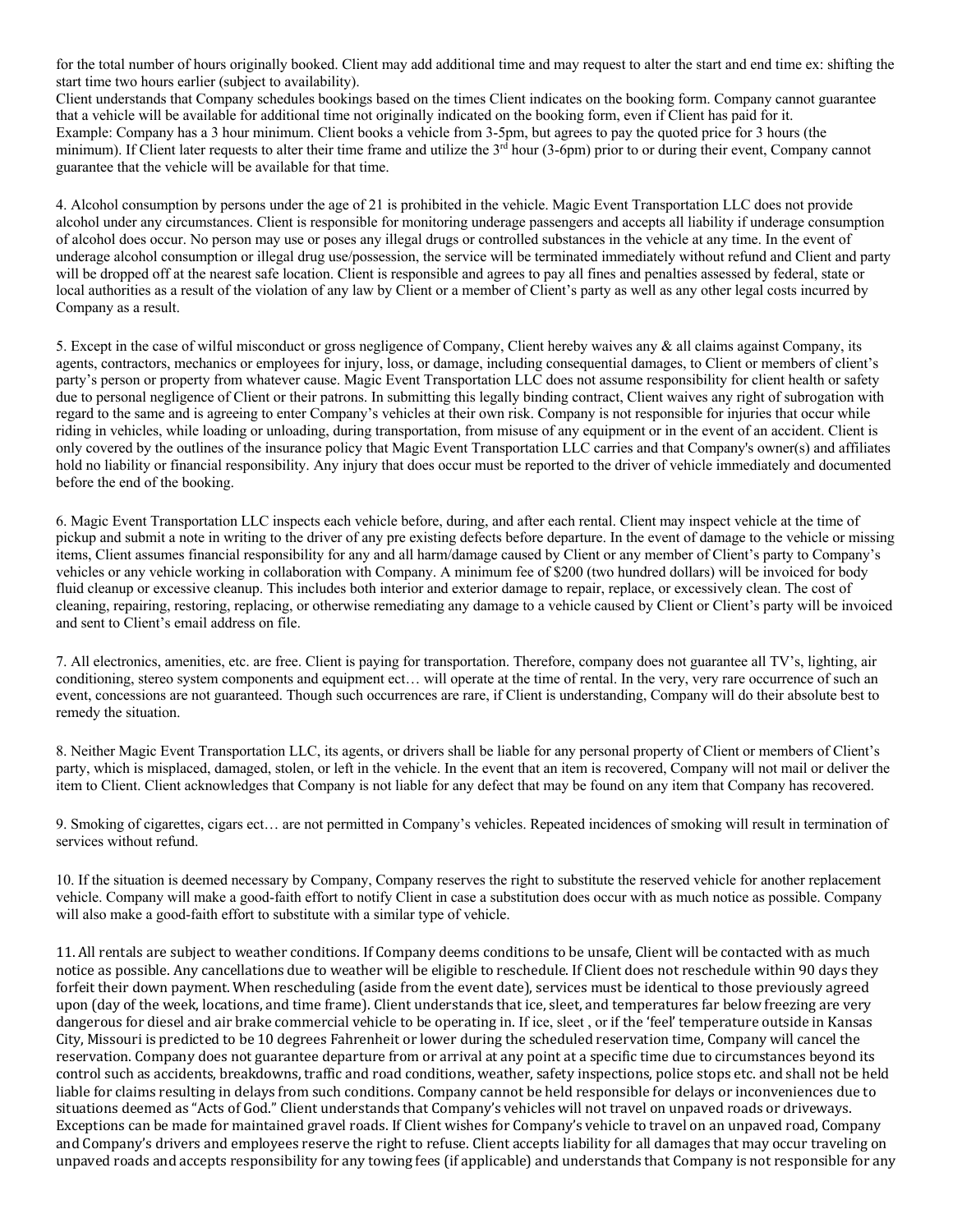for the total number of hours originally booked. Client may add additional time and may request to alter the start and end time ex: shifting the start time two hours earlier (subject to availability).

Client understands that Company schedules bookings based on the times Client indicates on the booking form. Company cannot guarantee that a vehicle will be available for additional time not originally indicated on the booking form, even if Client has paid for it. Example: Company has a 3 hour minimum. Client books a vehicle from 3-5pm, but agrees to pay the quoted price for 3 hours (the minimum). If Client later requests to alter their time frame and utilize the  $3<sup>rd</sup>$  hour (3-6pm) prior to or during their event, Company cannot guarantee that the vehicle will be available for that time.

4. Alcohol consumption by persons under the age of 21 is prohibited in the vehicle. Magic Event Transportation LLC does not provide alcohol under any circumstances. Client is responsible for monitoring underage passengers and accepts all liability if underage consumption of alcohol does occur. No person may use or poses any illegal drugs or controlled substances in the vehicle at any time. In the event of underage alcohol consumption or illegal drug use/possession, the service will be terminated immediately without refund and Client and party will be dropped off at the nearest safe location. Client is responsible and agrees to pay all fines and penalties assessed by federal, state or local authorities as a result of the violation of any law by Client or a member of Client's party as well as any other legal costs incurred by Company as a result.

5. Except in the case of wilful misconduct or gross negligence of Company, Client hereby waives any & all claims against Company, its agents, contractors, mechanics or employees for injury, loss, or damage, including consequential damages, to Client or members of client's party's person or property from whatever cause. Magic Event Transportation LLC does not assume responsibility for client health or safety due to personal negligence of Client or their patrons. In submitting this legally binding contract, Client waives any right of subrogation with regard to the same and is agreeing to enter Company's vehicles at their own risk. Company is not responsible for injuries that occur while riding in vehicles, while loading or unloading, during transportation, from misuse of any equipment or in the event of an accident. Client is only covered by the outlines of the insurance policy that Magic Event Transportation LLC carries and that Company's owner(s) and affiliates hold no liability or financial responsibility. Any injury that does occur must be reported to the driver of vehicle immediately and documented before the end of the booking.

6. Magic Event Transportation LLC inspects each vehicle before, during, and after each rental. Client may inspect vehicle at the time of pickup and submit a note in writing to the driver of any pre existing defects before departure. In the event of damage to the vehicle or missing items, Client assumes financial responsibility for any and all harm/damage caused by Client or any member of Client's party to Company's vehicles or any vehicle working in collaboration with Company. A minimum fee of \$200 (two hundred dollars) will be invoiced for body fluid cleanup or excessive cleanup. This includes both interior and exterior damage to repair, replace, or excessively clean. The cost of cleaning, repairing, restoring, replacing, or otherwise remediating any damage to a vehicle caused by Client or Client's party will be invoiced and sent to Client's email address on file.

7. All electronics, amenities, etc. are free. Client is paying for transportation. Therefore, company does not guarantee all TV's, lighting, air conditioning, stereo system components and equipment ect... will operate at the time of rental. In the very, very rare occurrence of such an event, concessions are not guaranteed. Though such occurrences are rare, if Client is understanding, Company will do their absolute best to remedy the situation.

8. Neither Magic Event Transportation LLC, its agents, or drivers shall be liable for any personal property of Client or members of Client's party, which is misplaced, damaged, stolen, or left in the vehicle. In the event that an item is recovered, Company will not mail or deliver the item to Client. Client acknowledges that Company is not liable for any defect that may be found on any item that Company has recovered.

9. Smoking of cigarettes, cigars ect… are not permitted in Company's vehicles. Repeated incidences of smoking will result in termination of services without refund.

10. If the situation is deemed necessary by Company, Company reserves the right to substitute the reserved vehicle for another replacement vehicle. Company will make a good-faith effort to notify Client in case a substitution does occur with as much notice as possible. Company will also make a good-faith effort to substitute with a similar type of vehicle.

11. All rentals are subject to weather conditions. If Company deems conditions to be unsafe, Client will be contacted with as much notice as possible. Any cancellations due to weather will be eligible to reschedule. If Client does not reschedule within 90 days they forfeit their down payment. When rescheduling (aside from the event date), services must be identical to those previously agreed upon (day of the week, locations, and time frame). Client understands that ice, sleet, and temperatures far below freezing are very dangerous for diesel and air brake commercial vehicle to be operating in. If ice, sleet, or if the 'feel' temperature outside in Kansas City, Missouri is predicted to be 10 degrees Fahrenheit or lower during the scheduled reservation time, Company will cancel the reservation. Company does not guarantee departure from or arrival at any point at a specific time due to circumstances beyond its control such as accidents, breakdowns, traffic and road conditions, weather, safety inspections, police stops etc. and shall not be held liable for claims resulting in delays from such conditions. Company cannot be held responsible for delays or inconveniences due to situations deemed as "Acts of God." Client understands that Company's vehicles will not travel on unpaved roads or driveways. Exceptions can be made for maintained gravel roads. If Client wishes for Company's vehicle to travel on an unpaved road, Company and Company's drivers and employees reserve the right to refuse. Client accepts liability for all damages that may occur traveling on unpaved roads and accepts responsibility for any towing fees (if applicable) and understands that Company is not responsible for any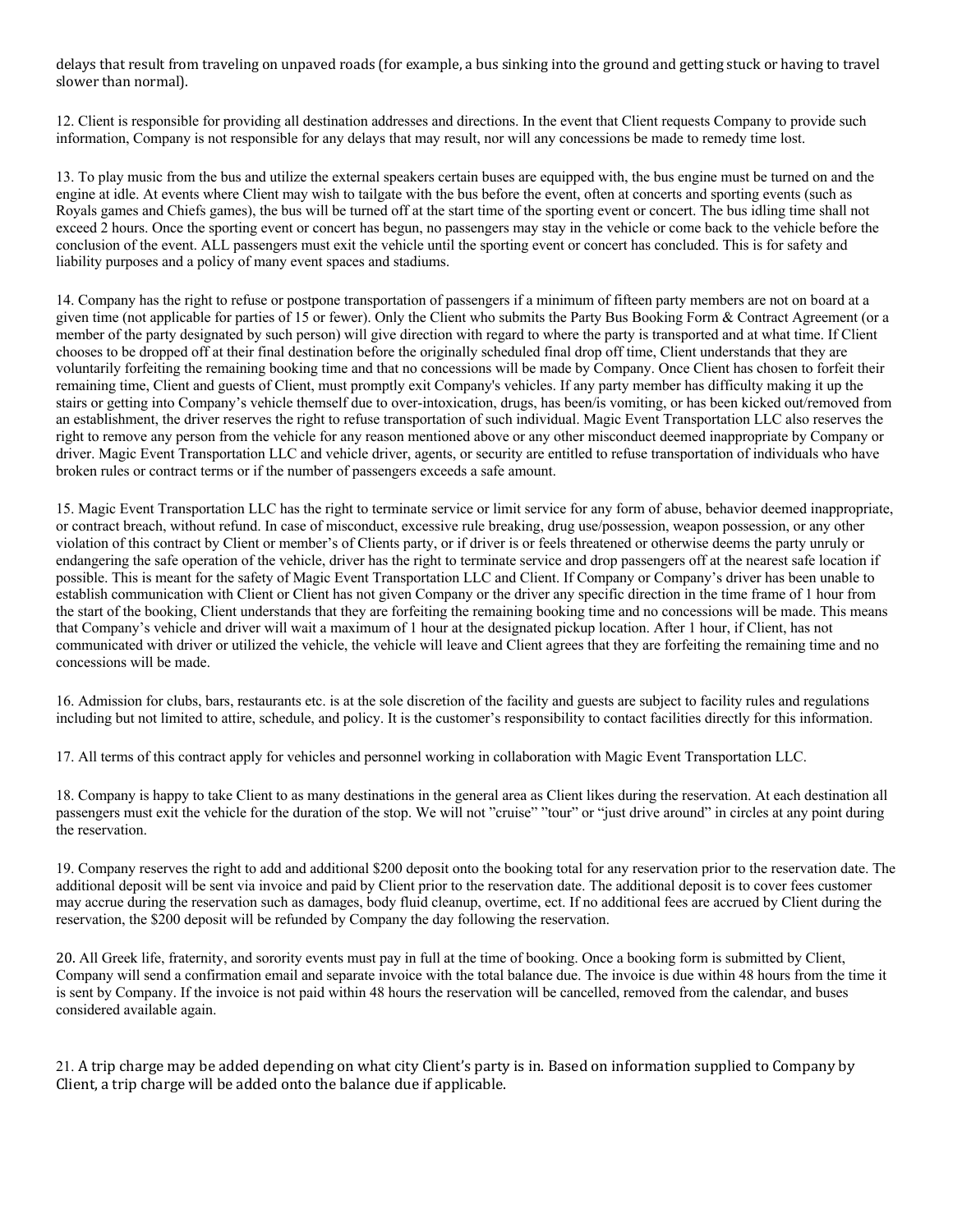delays that result from traveling on unpaved roads (for example, a bus sinking into the ground and getting stuck or having to travel slower than normal).

12. Client is responsible for providing all destination addresses and directions. In the event that Client requests Company to provide such information, Company is not responsible for any delays that may result, nor will any concessions be made to remedy time lost.

13. To play music from the bus and utilize the external speakers certain buses are equipped with, the bus engine must be turned on and the engine at idle. At events where Client may wish to tailgate with the bus before the event, often at concerts and sporting events (such as Royals games and Chiefs games), the bus will be turned off at the start time of the sporting event or concert. The bus idling time shall not exceed 2 hours. Once the sporting event or concert has begun, no passengers may stay in the vehicle or come back to the vehicle before the conclusion of the event. ALL passengers must exit the vehicle until the sporting event or concert has concluded. This is for safety and liability purposes and a policy of many event spaces and stadiums.

14. Company has the right to refuse or postpone transportation of passengers if a minimum of fifteen party members are not on board at a given time (not applicable for parties of 15 or fewer). Only the Client who submits the Party Bus Booking Form & Contract Agreement (or a member of the party designated by such person) will give direction with regard to where the party is transported and at what time. If Client chooses to be dropped off at their final destination before the originally scheduled final drop off time, Client understands that they are voluntarily forfeiting the remaining booking time and that no concessions will be made by Company. Once Client has chosen to forfeit their remaining time, Client and guests of Client, must promptly exit Company's vehicles. If any party member has difficulty making it up the stairs or getting into Company's vehicle themself due to over-intoxication, drugs, has been/is vomiting, or has been kicked out/removed from an establishment, the driver reserves the right to refuse transportation of such individual. Magic Event Transportation LLC also reserves the right to remove any person from the vehicle for any reason mentioned above or any other misconduct deemed inappropriate by Company or driver. Magic Event Transportation LLC and vehicle driver, agents, or security are entitled to refuse transportation of individuals who have broken rules or contract terms or if the number of passengers exceeds a safe amount.

15. Magic Event Transportation LLC has the right to terminate service or limit service for any form of abuse, behavior deemed inappropriate, or contract breach, without refund. In case of misconduct, excessive rule breaking, drug use/possession, weapon possession, or any other violation of this contract by Client or member's of Clients party, or if driver is or feels threatened or otherwise deems the party unruly or endangering the safe operation of the vehicle, driver has the right to terminate service and drop passengers off at the nearest safe location if possible. This is meant for the safety of Magic Event Transportation LLC and Client. If Company or Company's driver has been unable to establish communication with Client or Client has not given Company or the driver any specific direction in the time frame of 1 hour from the start of the booking, Client understands that they are forfeiting the remaining booking time and no concessions will be made. This means that Company's vehicle and driver will wait a maximum of 1 hour at the designated pickup location. After 1 hour, if Client, has not communicated with driver or utilized the vehicle, the vehicle will leave and Client agrees that they are forfeiting the remaining time and no concessions will be made.

16. Admission for clubs, bars, restaurants etc. is at the sole discretion of the facility and guests are subject to facility rules and regulations including but not limited to attire, schedule, and policy. It is the customer's responsibility to contact facilities directly for this information.

17. All terms of this contract apply for vehicles and personnel working in collaboration with Magic Event Transportation LLC.

18. Company is happy to take Client to as many destinations in the general area as Client likes during the reservation. At each destination all passengers must exit the vehicle for the duration of the stop. We will not "cruise" "tour" or "just drive around" in circles at any point during the reservation.

19. Company reserves the right to add and additional \$200 deposit onto the booking total for any reservation prior to the reservation date. The additional deposit will be sent via invoice and paid by Client prior to the reservation date. The additional deposit is to cover fees customer may accrue during the reservation such as damages, body fluid cleanup, overtime, ect. If no additional fees are accrued by Client during the reservation, the \$200 deposit will be refunded by Company the day following the reservation.

20. All Greek life, fraternity, and sorority events must pay in full at the time of booking. Once a booking form is submitted by Client, Company will send a confirmation email and separate invoice with the total balance due. The invoice is due within 48 hours from the time it is sent by Company. If the invoice is not paid within 48 hours the reservation will be cancelled, removed from the calendar, and buses considered available again.

21. A trip charge may be added depending on what city Client's party is in. Based on information supplied to Company by Client, a trip charge will be added onto the balance due if applicable.